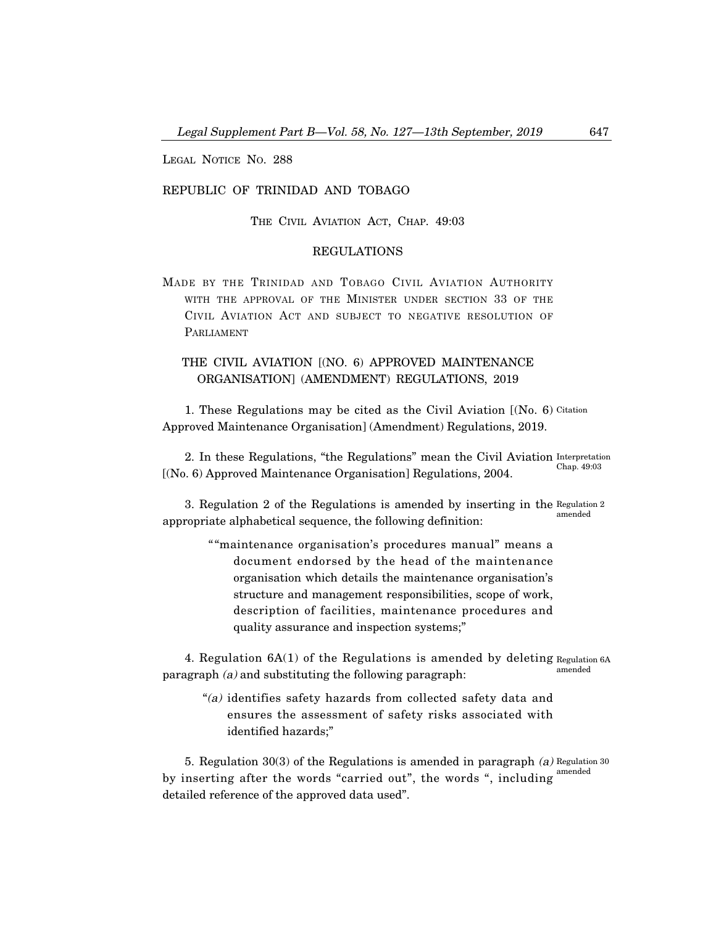LEGAL NOTICE NO. 288

# REPUBLIC OF TRINIDAD AND TOBAGO

THE CIVIL AVIATION ACT, CHAP. 49:03

# REGULATIONS

MADE BY THE TRINIDAD AND TOBAGO CIVIL AVIATION AUTHORITY WITH THE APPROVAL OF THE MINISTER UNDER SECTION 33 OF THE CIVIL AVIATION ACT AND SUBJECT TO NEGATIVE RESOLUTION OF PARLIAMENT

# THE CIVIL AVIATION [(NO. 6) APPROVED MAINTENANCE ORGANISATION] (AMENDMENT) REGULATIONS, 2019

1. These Regulations may be cited as the Civil Aviation [(No. 6) Citation Approved Maintenance Organisation] (Amendment) Regulations, 2019.

2. In these Regulations, "the Regulations" mean the Civil Aviation Interpretation [(No. 6) Approved Maintenance Organisation] Regulations, 2004. Chap. 49:03

3. Regulation 2 of the Regulations is amended by inserting in the Regulation 2 appropriate alphabetical sequence, the following definition: amended

> ""maintenance organisation's procedures manual" means a document endorsed by the head of the maintenance organisation which details the maintenance organisation's structure and management responsibilities, scope of work, description of facilities, maintenance procedures and quality assurance and inspection systems;"

4. Regulation 6A(1) of the Regulations is amended by deleting Regulation 6A paragraph (a) and substituting the following paragraph: amended

"(a) identifies safety hazards from collected safety data and ensures the assessment of safety risks associated with identified hazards;"

5. Regulation 30(3) of the Regulations is amended in paragraph (a) Regulation 30 by inserting after the words "carried out", the words ", including amended detailed reference of the approved data used".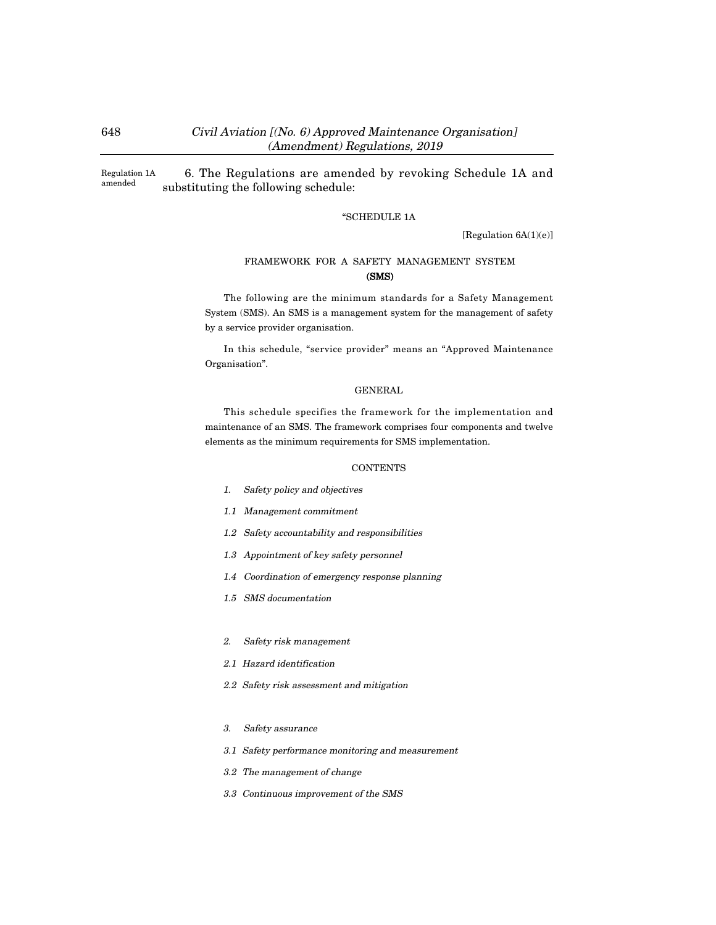# 648 Civil Aviation [(No. 6) Approved Maintenance Organisation] (Amendment) Regulations, 2019

6. The Regulations are amended by revoking Schedule 1A and substituting the following schedule: Regulation 1A amended

### "SCHEDULE 1A

[Regulation 6A(1)(e)]

# FRAMEWORK FOR A SAFETY MANAGEMENT SYSTEM (SMS)

The following are the minimum standards for a Safety Management System (SMS). An SMS is a management system for the management of safety by a service provider organisation.

In this schedule, "service provider" means an "Approved Maintenance Organisation".

## GENERAL

This schedule specifies the framework for the implementation and maintenance of an SMS. The framework comprises four components and twelve elements as the minimum requirements for SMS implementation.

### **CONTENTS**

- 1. Safety policy and objectives
- 1.1 Management commitment
- 1.2 Safety accountability and responsibilities
- 1.3 Appointment of key safety personnel
- 1.4 Coordination of emergency response planning
- 1.5 SMS documentation
- 2. Safety risk management
- 2.1 Hazard identification
- 2.2 Safety risk assessment and mitigation
- 3. Safety assurance
- 3.1 Safety performance monitoring and measurement
- 3.2 The management of change
- 3.3 Continuous improvement of the SMS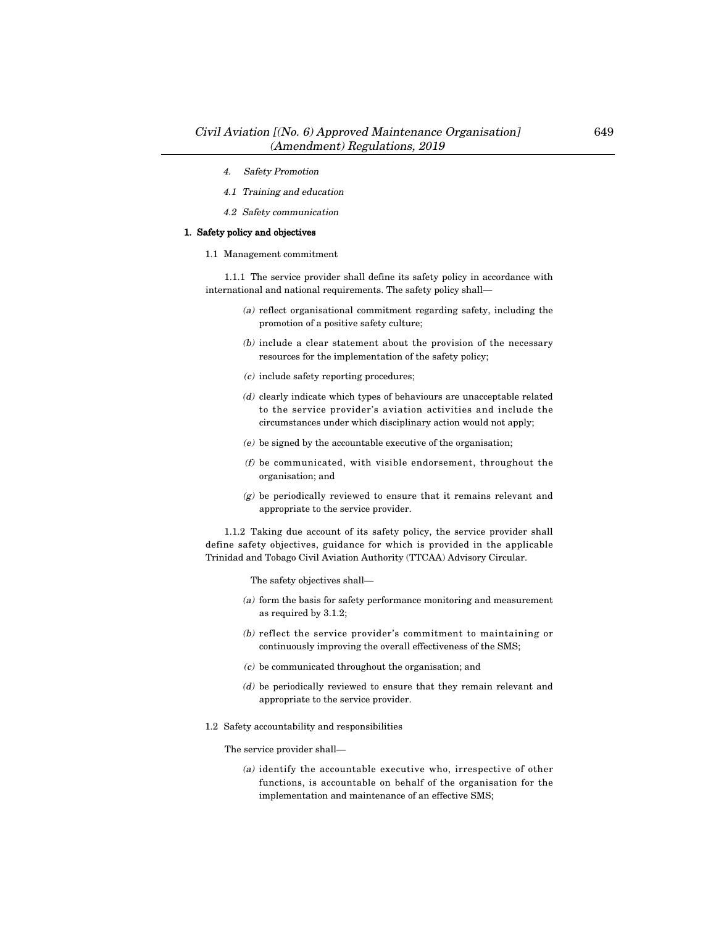- 4. Safety Promotion
- 4.1 Training and education
- 4.2 Safety communication

## 1. Safety policy and objectives

1.1 Management commitment

1.1.1 The service provider shall define its safety policy in accordance with international and national requirements. The safety policy shall–

- (a) reflect organisational commitment regarding safety, including the promotion of a positive safety culture;
- (b) include a clear statement about the provision of the necessary resources for the implementation of the safety policy;
- $(c)$  include safety reporting procedures;
- (d) clearly indicate which types of behaviours are unacceptable related to the service provider's aviation activities and include the circumstances under which disciplinary action would not apply;
- (e) be signed by the accountable executive of the organisation;
- (f) be communicated, with visible endorsement, throughout the organisation; and
- (g) be periodically reviewed to ensure that it remains relevant and appropriate to the service provider.

1.1.2 Taking due account of its safety policy, the service provider shall define safety objectives, guidance for which is provided in the applicable Trinidad and Tobago Civil Aviation Authority (TTCAA) Advisory Circular.

The safety objectives shall–

- (a) form the basis for safety performance monitoring and measurement as required by 3.1.2;
- (b) reflect the service provider's commitment to maintaining or continuously improving the overall effectiveness of the SMS;
- $(c)$  be communicated throughout the organisation; and
- (d) be periodically reviewed to ensure that they remain relevant and appropriate to the service provider.
- 1.2 Safety accountability and responsibilities

The service provider shall–

(a) identify the accountable executive who, irrespective of other functions, is accountable on behalf of the organisation for the implementation and maintenance of an effective SMS;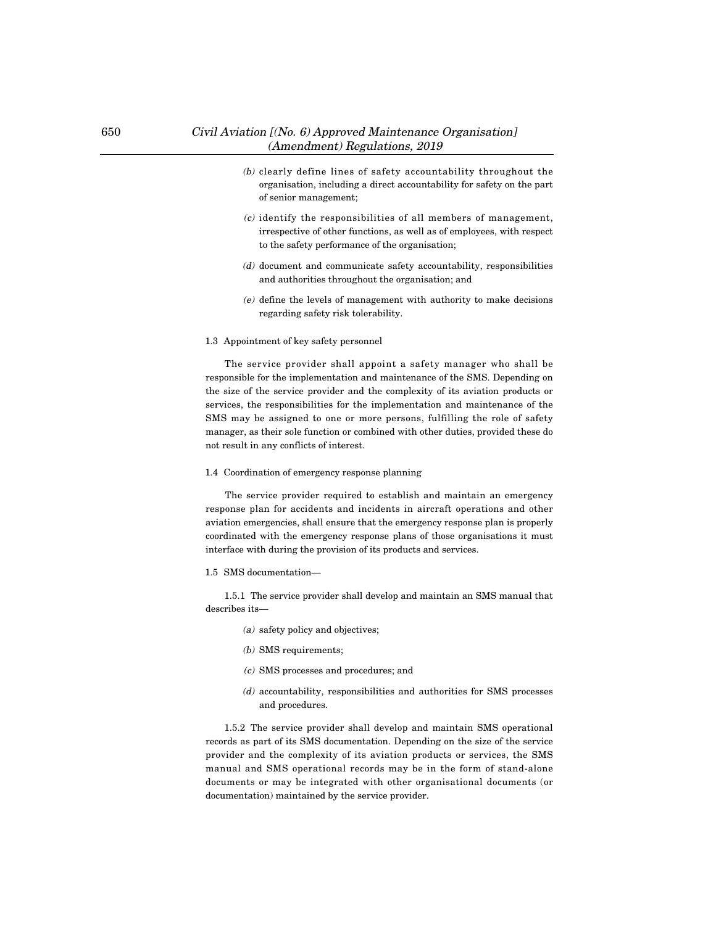- (b) clearly define lines of safety accountability throughout the organisation, including a direct accountability for safety on the part of senior management;
- (c) identify the responsibilities of all members of management, irrespective of other functions, as well as of employees, with respect to the safety performance of the organisation;
- (d) document and communicate safety accountability, responsibilities and authorities throughout the organisation; and
- (e) define the levels of management with authority to make decisions regarding safety risk tolerability.

#### 1.3 Appointment of key safety personnel

The service provider shall appoint a safety manager who shall be responsible for the implementation and maintenance of the SMS. Depending on the size of the service provider and the complexity of its aviation products or services, the responsibilities for the implementation and maintenance of the SMS may be assigned to one or more persons, fulfilling the role of safety manager, as their sole function or combined with other duties, provided these do not result in any conflicts of interest.

#### 1.4 Coordination of emergency response planning

The service provider required to establish and maintain an emergency response plan for accidents and incidents in aircraft operations and other aviation emergencies, shall ensure that the emergency response plan is properly coordinated with the emergency response plans of those organisations it must interface with during the provision of its products and services.

#### 1.5 SMS documentation–

1.5.1 The service provider shall develop and maintain an SMS manual that describes its–

- (a) safety policy and objectives;
- (b) SMS requirements;
- (c) SMS processes and procedures; and
- (d) accountability, responsibilities and authorities for SMS processes and procedures.

1.5.2 The service provider shall develop and maintain SMS operational records as part of its SMS documentation. Depending on the size of the service provider and the complexity of its aviation products or services, the SMS manual and SMS operational records may be in the form of stand-alone documents or may be integrated with other organisational documents (or documentation) maintained by the service provider.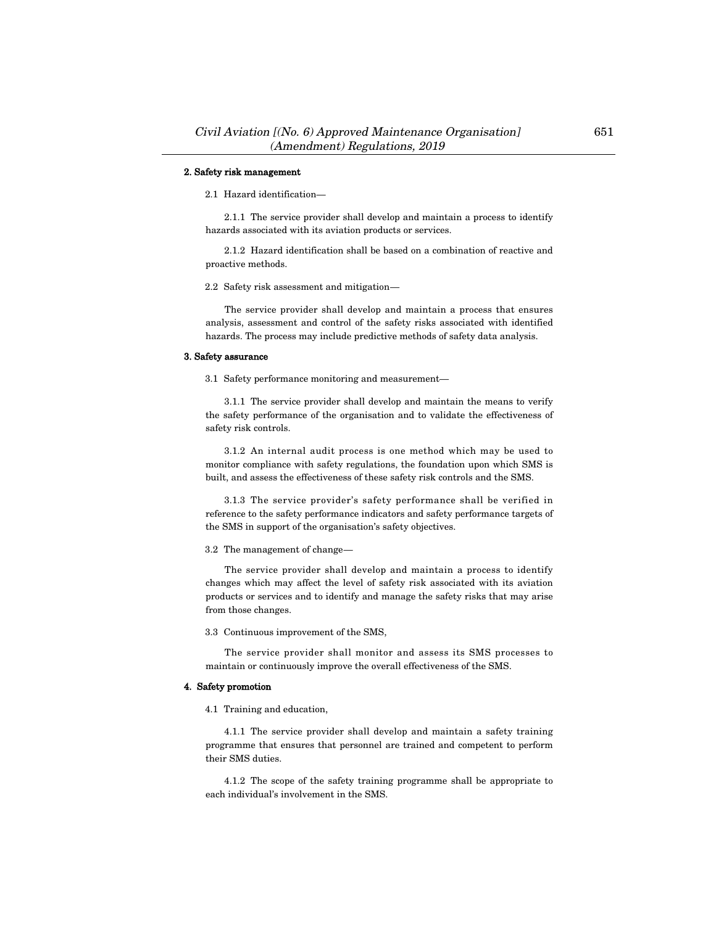## 2. Safety risk management

2.1 Hazard identification–

2.1.1 The service provider shall develop and maintain a process to identify hazards associated with its aviation products or services.

2.1.2 Hazard identification shall be based on a combination of reactive and proactive methods.

2.2 Safety risk assessment and mitigation–

The service provider shall develop and maintain a process that ensures analysis, assessment and control of the safety risks associated with identified hazards. The process may include predictive methods of safety data analysis.

### 3. Safety assurance

3.1 Safety performance monitoring and measurement–

3.1.1 The service provider shall develop and maintain the means to verify the safety performance of the organisation and to validate the effectiveness of safety risk controls.

3.1.2 An internal audit process is one method which may be used to monitor compliance with safety regulations, the foundation upon which SMS is built, and assess the effectiveness of these safety risk controls and the SMS.

3.1.3 The service provider's safety performance shall be verified in reference to the safety performance indicators and safety performance targets of the SMS in support of the organisation's safety objectives.

3.2 The management of change–

The service provider shall develop and maintain a process to identify changes which may affect the level of safety risk associated with its aviation products or services and to identify and manage the safety risks that may arise from those changes.

3.3 Continuous improvement of the SMS,

The service provider shall monitor and assess its SMS processes to maintain or continuously improve the overall effectiveness of the SMS.

### 4. Safety promotion

4.1 Training and education,

4.1.1 The service provider shall develop and maintain a safety training programme that ensures that personnel are trained and competent to perform their SMS duties.

4.1.2 The scope of the safety training programme shall be appropriate to each individual's involvement in the SMS.